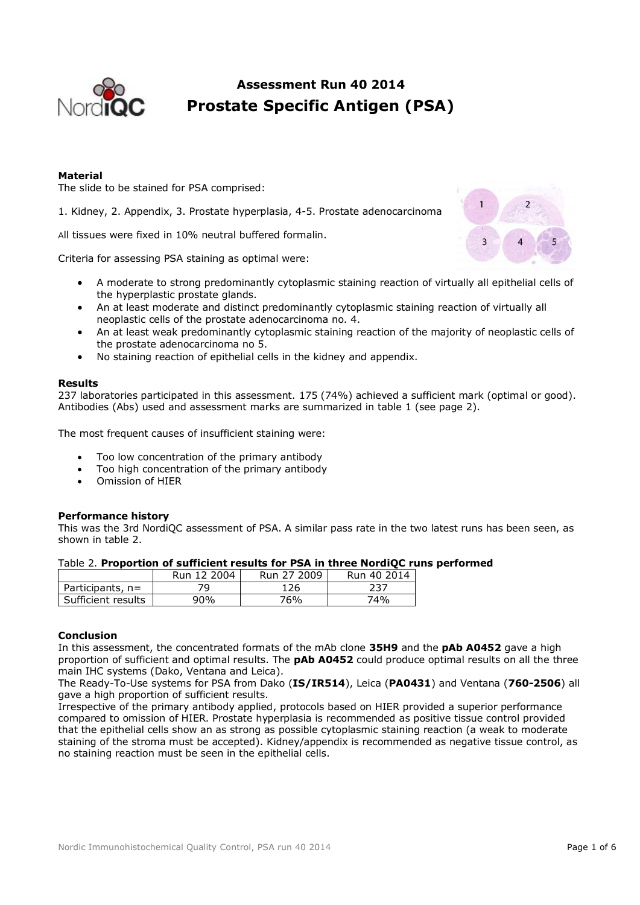

# **Assessment Run 40 2014 Prostate Specific Antigen (PSA)**

## **Material**

The slide to be stained for PSA comprised:

1. Kidney, 2. Appendix, 3. Prostate hyperplasia, 4-5. Prostate adenocarcinoma

All tissues were fixed in 10% neutral buffered formalin.

Criteria for assessing PSA staining as optimal were:

- A moderate to strong predominantly cytoplasmic staining reaction of virtually all epithelial cells of the hyperplastic prostate glands.
- An at least moderate and distinct predominantly cytoplasmic staining reaction of virtually all neoplastic cells of the prostate adenocarcinoma no. 4.
- An at least weak predominantly cytoplasmic staining reaction of the majority of neoplastic cells of the prostate adenocarcinoma no 5.
- No staining reaction of epithelial cells in the kidney and appendix.

### **Results**

237 laboratories participated in this assessment. 175 (74%) achieved a sufficient mark (optimal or good). Antibodies (Abs) used and assessment marks are summarized in table 1 (see page 2).

The most frequent causes of insufficient staining were:

- Too low concentration of the primary antibody
- Too high concentration of the primary antibody
- Omission of HIER

#### **Performance history**

This was the 3rd NordiQC assessment of PSA. A similar pass rate in the two latest runs has been seen, as shown in table 2.

| Table 2. Proportion of sufficient results for PSA in three NordiQC runs performed |
|-----------------------------------------------------------------------------------|
|-----------------------------------------------------------------------------------|

|                      | Run 12 2004 | Run 27 2009 | Run 40 2014 |
|----------------------|-------------|-------------|-------------|
| Participants, $n=$   |             | L26         |             |
| . Sufficient results | 90%         | 76%         | 74%         |

## **Conclusion**

In this assessment, the concentrated formats of the mAb clone **35H9** and the **pAb A0452** gave a high proportion of sufficient and optimal results. The **pAb A0452** could produce optimal results on all the three main IHC systems (Dako, Ventana and Leica).

The Ready-To-Use systems for PSA from Dako (**IS/IR514**), Leica (**PA0431**) and Ventana (**760-2506**) all gave a high proportion of sufficient results.

Irrespective of the primary antibody applied, protocols based on HIER provided a superior performance compared to omission of HIER. Prostate hyperplasia is recommended as positive tissue control provided that the epithelial cells show an as strong as possible cytoplasmic staining reaction (a weak to moderate staining of the stroma must be accepted). Kidney/appendix is recommended as negative tissue control, as no staining reaction must be seen in the epithelial cells.

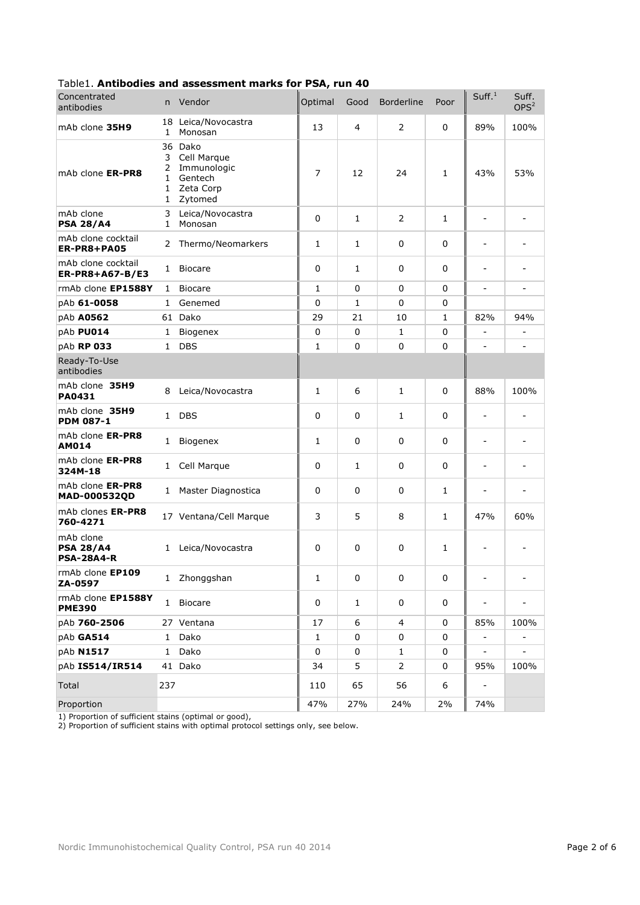| Concentrated<br>antibodies                         | n.                               | Vendor                                                                   | Optimal | Good         | <b>Borderline</b> | Poor         | Suff. <sup>1</sup>           | Suff.<br>OPS <sup>2</sup> |
|----------------------------------------------------|----------------------------------|--------------------------------------------------------------------------|---------|--------------|-------------------|--------------|------------------------------|---------------------------|
| mAb clone 35H9                                     | 18<br>$\mathbf{1}$               | Leica/Novocastra<br>Monosan                                              | 13      | 4            | $\overline{2}$    | 0            | 89%                          | 100%                      |
| mAb clone ER-PR8                                   | 3<br>2<br>1<br>1<br>$\mathbf{1}$ | 36 Dako<br>Cell Marque<br>Immunologic<br>Gentech<br>Zeta Corp<br>Zytomed | 7       | 12           | 24                | $\mathbf{1}$ | 43%                          | 53%                       |
| mAb clone<br><b>PSA 28/A4</b>                      | 3<br>1                           | Leica/Novocastra<br>Monosan                                              | 0       | $\mathbf{1}$ | 2                 | 1            |                              |                           |
| mAb clone cocktail<br>ER-PR8+PA05                  | $\mathbf{2}$                     | Thermo/Neomarkers                                                        | 1       | 1            | 0                 | 0            |                              |                           |
| mAb clone cocktail<br>ER-PR8+A67-B/E3              | 1                                | <b>Biocare</b>                                                           | 0       | 1            | $\mathbf 0$       | 0            | $\qquad \qquad \blacksquare$ |                           |
| rmAb clone EP1588Y                                 | 1                                | <b>Biocare</b>                                                           | 1       | 0            | $\Omega$          | $\Omega$     | $\blacksquare$               |                           |
| pAb 61-0058                                        | 1                                | Genemed                                                                  | 0       | 1            | 0                 | 0            |                              |                           |
| pAb A0562                                          |                                  | 61 Dako                                                                  | 29      | 21           | 10                | 1            | 82%                          | 94%                       |
| pAb PU014                                          | $\mathbf{1}$                     | Biogenex                                                                 | 0       | 0            | $\mathbf{1}$      | 0            |                              |                           |
| pAb RP 033                                         | $\mathbf{1}$                     | <b>DBS</b>                                                               | 1       | 0            | $\mathbf 0$       | 0            |                              |                           |
| Ready-To-Use<br>antibodies                         |                                  |                                                                          |         |              |                   |              |                              |                           |
| mAb clone 35H9<br><b>PA0431</b>                    | 8                                | Leica/Novocastra                                                         | 1       | 6            | $\mathbf{1}$      | 0            | 88%                          | 100%                      |
| mAb clone 35H9<br><b>PDM 087-1</b>                 | $\mathbf{1}$                     | <b>DBS</b>                                                               | 0       | 0            | 1                 | $\Omega$     | $\overline{\phantom{a}}$     |                           |
| mAb clone ER-PR8<br><b>AM014</b>                   | $\mathbf{1}$                     | Biogenex                                                                 | 1       | 0            | 0                 | 0            | $\overline{\phantom{a}}$     |                           |
| mAb clone ER-PR8<br>324M-18                        | 1                                | Cell Marque                                                              | 0       | 1            | 0                 | $\Omega$     | $\blacksquare$               | $\blacksquare$            |
| mAb clone ER-PR8<br>MAD-000532QD                   | 1                                | Master Diagnostica                                                       | 0       | 0            | 0                 | 1            | $\qquad \qquad \blacksquare$ |                           |
| mAb clones ER-PR8<br>760-4271                      |                                  | 17 Ventana/Cell Marque                                                   | 3       | 5            | 8                 | 1            | 47%                          | 60%                       |
| mAb clone<br><b>PSA 28/A4</b><br><b>PSA-28A4-R</b> | 1                                | Leica/Novocastra                                                         | 0       | 0            | 0                 | 1            | $\overline{\phantom{a}}$     |                           |
| rmAb clone EP109<br>ZA-0597                        |                                  | 1 Zhonggshan                                                             | 1       | 0            | 0                 | 0            |                              |                           |
| rmAb clone EP1588Y<br><b>PME390</b>                | $\mathbf{1}$                     | <b>Biocare</b>                                                           | 0       | 1            | 0                 | 0            | -                            |                           |
| pAb 760-2506                                       |                                  | 27 Ventana                                                               | 17      | 6            | 4                 | 0            | 85%                          | 100%                      |
| pAb GA514                                          | $\mathbf{1}$                     | Dako                                                                     | 1       | 0            | 0                 | 0            |                              |                           |
| pAb N1517                                          | $\mathbf{1}$                     | Dako                                                                     | 0       | 0            | 1                 | 0            | -                            |                           |
| pAb IS514/IR514                                    |                                  | 41 Dako                                                                  | 34      | 5            | $\overline{2}$    | 0            | 95%                          | 100%                      |
| Total                                              | 237                              |                                                                          | 110     | 65           | 56                | 6            | $\blacksquare$               |                           |
| Proportion                                         |                                  |                                                                          | 47%     | 27%          | 24%               | 2%           | 74%                          |                           |

## Table1. **Antibodies and assessment marks for PSA, run 40**

1) Proportion of sufficient stains (optimal or good),

2) Proportion of sufficient stains with optimal protocol settings only, see below.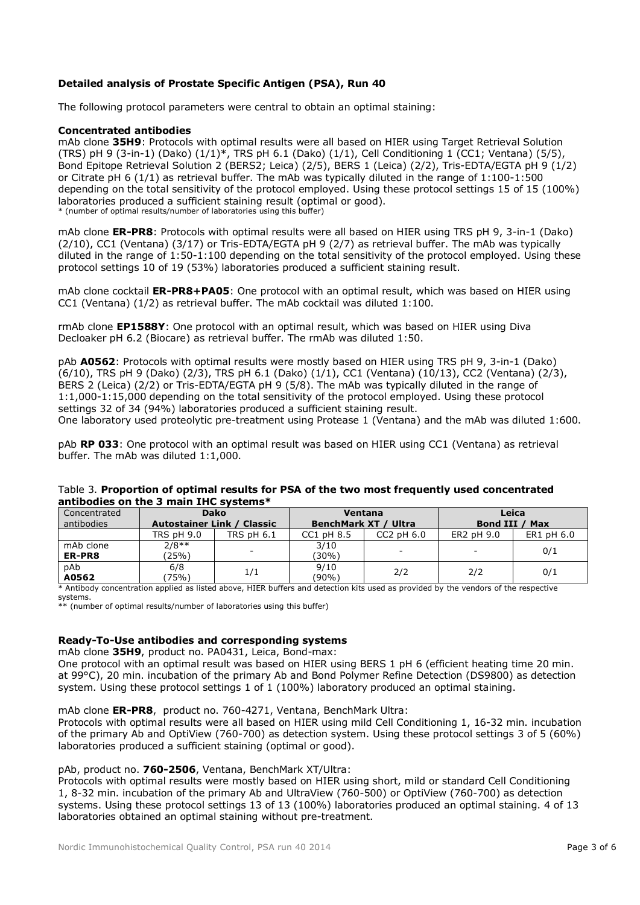## **Detailed analysis of Prostate Specific Antigen (PSA), Run 40**

The following protocol parameters were central to obtain an optimal staining:

## **Concentrated antibodies**

mAb clone **35H9**: Protocols with optimal results were all based on HIER using Target Retrieval Solution (TRS) pH 9 (3-in-1) (Dako) (1/1)\*, TRS pH 6.1 (Dako) (1/1), Cell Conditioning 1 (CC1; Ventana) (5/5), Bond Epitope Retrieval Solution 2 (BERS2; Leica) (2/5), BERS 1 (Leica) (2/2), Tris-EDTA/EGTA pH 9 (1/2) or Citrate pH 6 (1/1) as retrieval buffer. The mAb was typically diluted in the range of 1:100-1:500 depending on the total sensitivity of the protocol employed. Using these protocol settings 15 of 15 (100%) laboratories produced a sufficient staining result (optimal or good). \* (number of optimal results/number of laboratories using this buffer)

mAb clone **ER-PR8**: Protocols with optimal results were all based on HIER using TRS pH 9, 3-in-1 (Dako) (2/10), CC1 (Ventana) (3/17) or Tris-EDTA/EGTA pH 9 (2/7) as retrieval buffer. The mAb was typically diluted in the range of 1:50-1:100 depending on the total sensitivity of the protocol employed. Using these protocol settings 10 of 19 (53%) laboratories produced a sufficient staining result.

mAb clone cocktail **ER-PR8+PA05**: One protocol with an optimal result, which was based on HIER using CC1 (Ventana) (1/2) as retrieval buffer. The mAb cocktail was diluted 1:100.

rmAb clone **EP1588Y**: One protocol with an optimal result, which was based on HIER using Diva Decloaker pH 6.2 (Biocare) as retrieval buffer. The rmAb was diluted 1:50.

pAb **A0562**: Protocols with optimal results were mostly based on HIER using TRS pH 9, 3-in-1 (Dako) (6/10), TRS pH 9 (Dako) (2/3), TRS pH 6.1 (Dako) (1/1), CC1 (Ventana) (10/13), CC2 (Ventana) (2/3),  $BERS$  2 (Leica) (2/2) or Tris-EDTA/EGTA pH 9 (5/8). The mAb was typically diluted in the range of 1:1,000-1:15,000 depending on the total sensitivity of the protocol employed. Using these protocol settings 32 of 34 (94%) laboratories produced a sufficient staining result. One laboratory used proteolytic pre-treatment using Protease 1 (Ventana) and the mAb was diluted 1:600.

pAb **RP 033**: One protocol with an optimal result was based on HIER using CC1 (Ventana) as retrieval buffer. The mAb was diluted 1:1,000.

| antibodies on the 5 main THC systems. |                                   |              |                             |                          |                |            |  |  |
|---------------------------------------|-----------------------------------|--------------|-----------------------------|--------------------------|----------------|------------|--|--|
| Concentrated                          | <b>Dako</b>                       |              | Ventana                     |                          | Leica          |            |  |  |
| antibodies                            | <b>Autostainer Link / Classic</b> |              | <b>BenchMark XT / Ultra</b> |                          | Bond III / Max |            |  |  |
|                                       | <b>TRS pH 9.0</b>                 | TRS $pH 6.1$ | CC1 pH 8.5                  | $CC2$ pH $6.0$           | ER2 pH 9.0     | ER1 pH 6.0 |  |  |
| mAb clone                             | $2/8**$                           |              | 3/10                        | $\overline{\phantom{a}}$ |                |            |  |  |
| ER-PR8                                | (25%)                             |              | 30%)                        |                          |                | 0/1        |  |  |
| pAb                                   | 6/8                               |              | 9/10                        | 2/2                      | 2/2            | 0/1        |  |  |
| A0562                                 | 75%)                              | 1/1          | (90%)                       |                          |                |            |  |  |

## Table 3. **Proportion of optimal results for PSA of the two most frequently used concentrated antibodies on the 3 main IHC systems\***

\* Antibody concentration applied as listed above, HIER buffers and detection kits used as provided by the vendors of the respective systems.

\*\* (number of optimal results/number of laboratories using this buffer)

## **Ready-To-Use antibodies and corresponding systems**

mAb clone **35H9**, product no. PA0431, Leica, Bond-max:

One protocol with an optimal result was based on HIER using BERS 1 pH 6 (efficient heating time 20 min. at 99°C), 20 min. incubation of the primary Ab and Bond Polymer Refine Detection (DS9800) as detection system. Using these protocol settings 1 of 1 (100%) laboratory produced an optimal staining.

mAb clone **ER-PR8**, product no. 760-4271, Ventana, BenchMark Ultra:

Protocols with optimal results were all based on HIER using mild Cell Conditioning 1, 16-32 min. incubation of the primary Ab and OptiView (760-700) as detection system. Using these protocol settings 3 of 5 (60%) laboratories produced a sufficient staining (optimal or good).

## pAb, product no. **760-2506**, Ventana, BenchMark XT/Ultra:

Protocols with optimal results were mostly based on HIER using short, mild or standard Cell Conditioning 1, 8-32 min. incubation of the primary Ab and UltraView (760-500) or OptiView (760-700) as detection systems. Using these protocol settings 13 of 13 (100%) laboratories produced an optimal staining. 4 of 13 laboratories obtained an optimal staining without pre-treatment.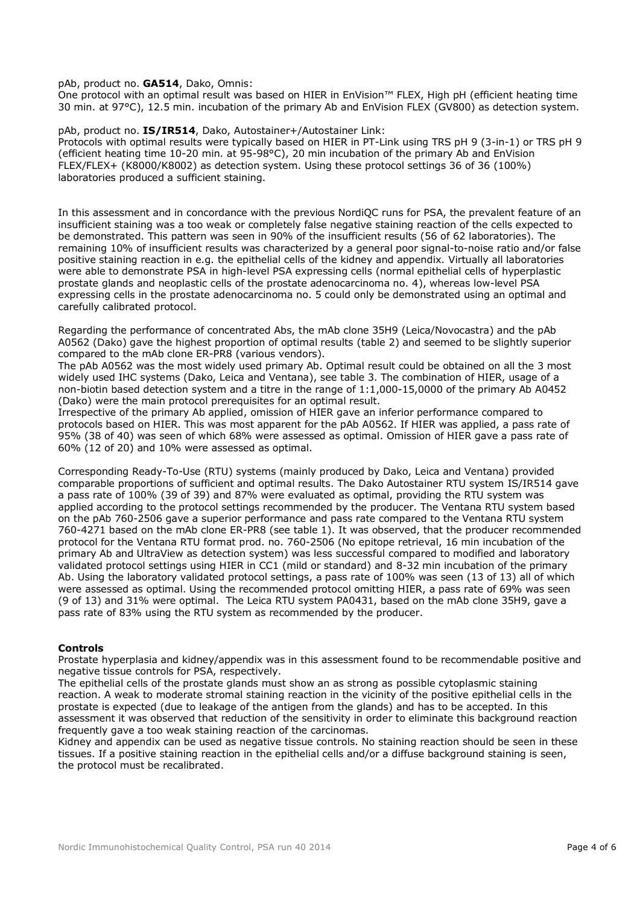#### pAb, product no. **GA514**, Dako, Omnis:

One protocol with an optimal result was based on HIER in EnVision™ FLEX, High pH (efficient heating time 30 min. at 97°C), 12.5 min. incubation of the primary Ab and EnVision FLEX (GV800) as detection system.

#### pAb, product no. **IS/IR514**, Dako, Autostainer+/Autostainer Link:

Protocols with optimal results were typically based on HIER in PT-Link using TRS pH 9 (3-in-1) or TRS pH 9 (efficient heating time 10-20 min. at 95-98°C), 20 min incubation of the primary Ab and EnVision FLEX/FLEX+ (K8000/K8002) as detection system. Using these protocol settings 36 of 36 (100%) laboratories produced a sufficient staining.

In this assessment and in concordance with the previous NordiQC runs for PSA, the prevalent feature of an insufficient staining was a too weak or completely false negative staining reaction of the cells expected to be demonstrated. This pattern was seen in 90% of the insufficient results (56 of 62 laboratories). The remaining 10% of insufficient results was characterized by a general poor signal-to-noise ratio and/or false positive staining reaction in e.g. the epithelial cells of the kidney and appendix. Virtually all laboratories were able to demonstrate PSA in high-level PSA expressing cells (normal epithelial cells of hyperplastic prostate glands and neoplastic cells of the prostate adenocarcinoma no. 4), whereas low-level PSA expressing cells in the prostate adenocarcinoma no. 5 could only be demonstrated using an optimal and carefully calibrated protocol.

Regarding the performance of concentrated Abs, the mAb clone 35H9 (Leica/Novocastra) and the pAb A0562 (Dako) gave the highest proportion of optimal results (table 2) and seemed to be slightly superior compared to the mAb clone ER-PR8 (various vendors).

The pAb A0562 was the most widely used primary Ab. Optimal result could be obtained on all the 3 most widely used IHC systems (Dako, Leica and Ventana), see table 3. The combination of HIER, usage of a non-biotin based detection system and a titre in the range of 1:1,000-15,0000 of the primary Ab A0452 (Dako) were the main protocol prerequisites for an optimal result.

Irrespective of the primary Ab applied, omission of HIER gave an inferior performance compared to protocols based on HIER. This was most apparent for the pAb A0562. If HIER was applied, a pass rate of 95% (38 of 40) was seen of which 68% were assessed as optimal. Omission of HIER gave a pass rate of 60% (12 of 20) and 10% were assessed as optimal.

Corresponding Ready-To-Use (RTU) systems (mainly produced by Dako, Leica and Ventana) provided comparable proportions of sufficient and optimal results. The Dako Autostainer RTU system IS/IR514 gave a pass rate of 100% (39 of 39) and 87% were evaluated as optimal, providing the RTU system was applied according to the protocol settings recommended by the producer. The Ventana RTU system based on the pAb 760-2506 gave a superior performance and pass rate compared to the Ventana RTU system 760-4271 based on the mAb clone ER-PR8 (see table 1). It was observed, that the producer recommended protocol for the Ventana RTU format prod. no. 760-2506 (No epitope retrieval, 16 min incubation of the primary Ab and UltraView as detection system) was less successful compared to modified and laboratory validated protocol settings using HIER in CC1 (mild or standard) and 8-32 min incubation of the primary Ab. Using the laboratory validated protocol settings, a pass rate of 100% was seen (13 of 13) all of which were assessed as optimal. Using the recommended protocol omitting HIER, a pass rate of 69% was seen (9 of 13) and 31% were optimal. The Leica RTU system PA0431, based on the mAb clone 35H9, gave a pass rate of 83% using the RTU system as recommended by the producer.

#### **Controls**

Prostate hyperplasia and kidney/appendix was in this assessment found to be recommendable positive and negative tissue controls for PSA, respectively.

The epithelial cells of the prostate glands must show an as strong as possible cytoplasmic staining reaction. A weak to moderate stromal staining reaction in the vicinity of the positive epithelial cells in the prostate is expected (due to leakage of the antigen from the glands) and has to be accepted. In this assessment it was observed that reduction of the sensitivity in order to eliminate this background reaction frequently gave a too weak staining reaction of the carcinomas.

Kidney and appendix can be used as negative tissue controls. No staining reaction should be seen in these tissues. If a positive staining reaction in the epithelial cells and/or a diffuse background staining is seen, the protocol must be recalibrated.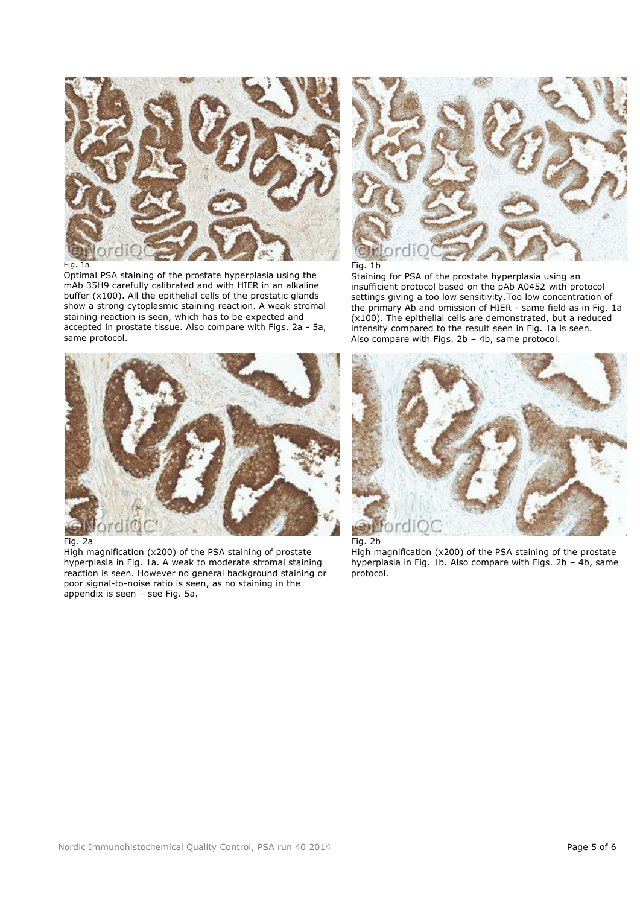

Fig. 1a

Optimal PSA staining of the prostate hyperplasia using the mAb 35H9 carefully calibrated and with HIER in an alkaline buffer (x100). All the epithelial cells of the prostatic glands show a strong cytoplasmic staining reaction. A weak stromal staining reaction is seen, which has to be expected and accepted in prostate tissue. Also compare with Figs. 2a - 5a, same protocol.



#### Fig. 2a

High magnification (x200) of the PSA staining of prostate hyperplasia in Fig. 1a. A weak to moderate stromal staining reaction is seen. However no general background staining or poor signal-to-noise ratio is seen, as no staining in the appendix is seen – see Fig. 5a.



Fig. 1b

Staining for PSA of the prostate hyperplasia using an insufficient protocol based on the pAb A0452 with protocol settings giving a too low sensitivity.Too low concentration of the primary Ab and omission of HIER - same field as in Fig. 1a (x100). The epithelial cells are demonstrated, but a reduced intensity compared to the result seen in Fig. 1a is seen. Also compare with Figs.  $2b - 4b$ , same protocol.



High magnification (x200) of the PSA staining of the prostate hyperplasia in Fig. 1b. Also compare with Figs. 2b – 4b, same protocol.